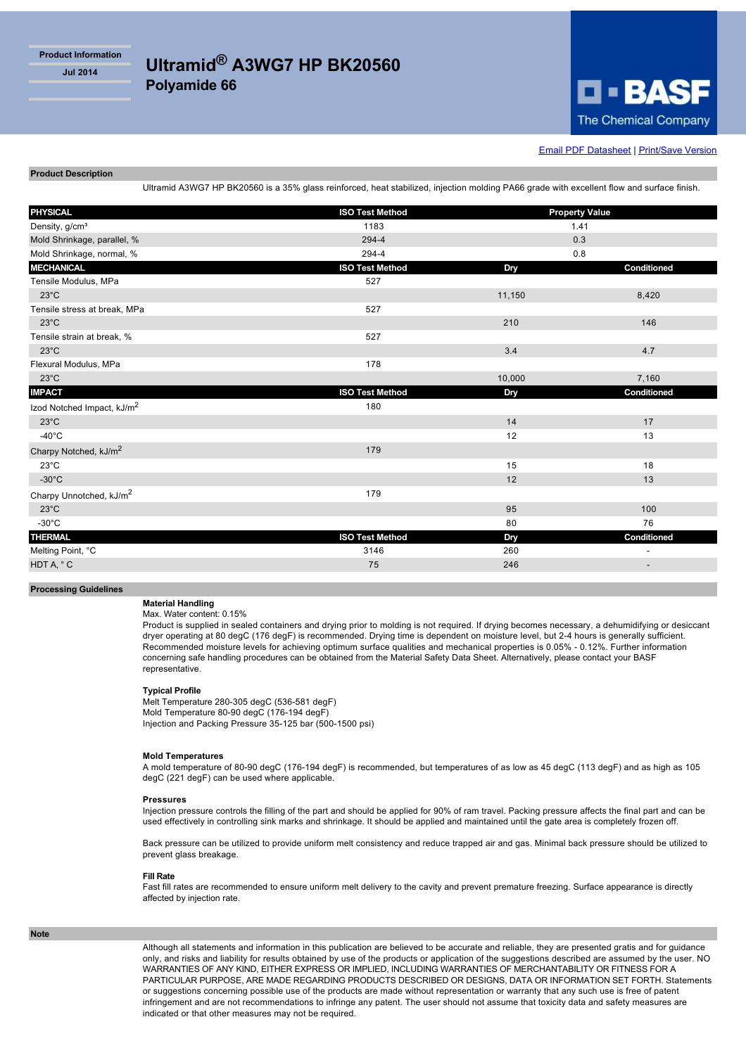**Product Information**



# **[Email PDF Datasheet](http://iwww.plasticsportal.com/products/emailform.html?type=iso¶m=Ultramid+A3WG7+HP+BK20560) | [Print/Save Version](http://iwww.plasticsportal.com/products/dspdf.php?type=iso¶m=Ultramid+A3WG7+HP+BK20560)**

### **Product Description**

Ultramid A3WG7 HP BK20560 is a 35% glass reinforced, heat stabilized, injection molding PA66 grade with excellent flow and surface finish.

| <b>PHYSICAL</b>                        | <b>ISO Test Method</b> | <b>Property Value</b> |             |
|----------------------------------------|------------------------|-----------------------|-------------|
| Density, g/cm <sup>3</sup>             | 1183                   | 1.41                  |             |
| Mold Shrinkage, parallel, %            | 294-4                  | 0.3                   |             |
| Mold Shrinkage, normal, %              | 294-4                  | 0.8                   |             |
| <b>MECHANICAL</b>                      | <b>ISO Test Method</b> | Dry                   | Conditioned |
| Tensile Modulus, MPa                   | 527                    |                       |             |
| $23^{\circ}$ C                         |                        | 11,150                | 8,420       |
| Tensile stress at break, MPa           | 527                    |                       |             |
| $23^{\circ}$ C                         |                        | 210                   | 146         |
| Tensile strain at break, %             | 527                    |                       |             |
| $23^{\circ}$ C                         |                        | 3.4                   | 4.7         |
| Flexural Modulus, MPa                  | 178                    |                       |             |
| $23^{\circ}$ C                         |                        | 10,000                | 7,160       |
| <b>IMPACT</b>                          | <b>ISO Test Method</b> | Dry                   | Conditioned |
| Izod Notched Impact, kJ/m <sup>2</sup> | 180                    |                       |             |
| $23^{\circ}$ C                         |                        | 14                    | 17          |
| $-40^{\circ}$ C                        |                        | 12                    | 13          |
| Charpy Notched, kJ/m <sup>2</sup>      | 179                    |                       |             |
| $23^{\circ}$ C                         |                        | 15                    | 18          |
| $-30^{\circ}$ C                        |                        | 12                    | 13          |
| Charpy Unnotched, kJ/m <sup>2</sup>    | 179                    |                       |             |
| $23^{\circ}$ C                         |                        | 95                    | 100         |
| $-30^{\circ}$ C                        |                        | 80                    | 76          |
| <b>THERMAL</b>                         | <b>ISO Test Method</b> | Dry                   | Conditioned |
| Melting Point, °C                      | 3146                   | 260                   |             |
| HDT A, °C                              | 75                     | 246                   |             |
|                                        |                        |                       |             |

## **Processing Guidelines**

#### **Material Handling** Max. Water content: 0.15%

Product is supplied in sealed containers and drying prior to molding is not required. If drying becomes necessary, a dehumidifying or desiccant dryer operating at 80 degC (176 degF) is recommended. Drying time is dependent on moisture level, but 2-4 hours is generally sufficient. Recommended moisture levels for achieving optimum surface qualities and mechanical properties is 0.05% - 0.12%. Further information concerning safe handling procedures can be obtained from the Material Safety Data Sheet. Alternatively, please contact your BASF representative.

## **Typical Profile**

Melt Temperature 280-305 degC (536-581 degF) Mold Temperature 80-90 degC (176-194 degF) Injection and Packing Pressure 35-125 bar (500-1500 psi)

#### **Mold Temperatures**

A mold temperature of 80-90 degC (176-194 degF) is recommended, but temperatures of as low as 45 degC (113 degF) and as high as 105 degC (221 degF) can be used where applicable.

#### **Pressures**

Injection pressure controls the filling of the part and should be applied for 90% of ram travel. Packing pressure affects the final part and can be used effectively in controlling sink marks and shrinkage. It should be applied and maintained until the gate area is completely frozen off.

Back pressure can be utilized to provide uniform melt consistency and reduce trapped air and gas. Minimal back pressure should be utilized to prevent glass breakage.

### **Fill Rate**

Fast fill rates are recommended to ensure uniform melt delivery to the cavity and prevent premature freezing. Surface appearance is directly affected by injection rate.

### **Note**

Although all statements and information in this publication are believed to be accurate and reliable, they are presented gratis and for guidance only, and risks and liability for results obtained by use of the products or application of the suggestions described are assumed by the user. NO WARRANTIES OF ANY KIND, EITHER EXPRESS OR IMPLIED, INCLUDING WARRANTIES OF MERCHANTABILITY OR FITNESS FOR A PARTICULAR PURPOSE, ARE MADE REGARDING PRODUCTS DESCRIBED OR DESIGNS, DATA OR INFORMATION SET FORTH. Statements or suggestions concerning possible use of the products are made without representation or warranty that any such use is free of patent infringement and are not recommendations to infringe any patent. The user should not assume that toxicity data and safety measures are indicated or that other measures may not be required.